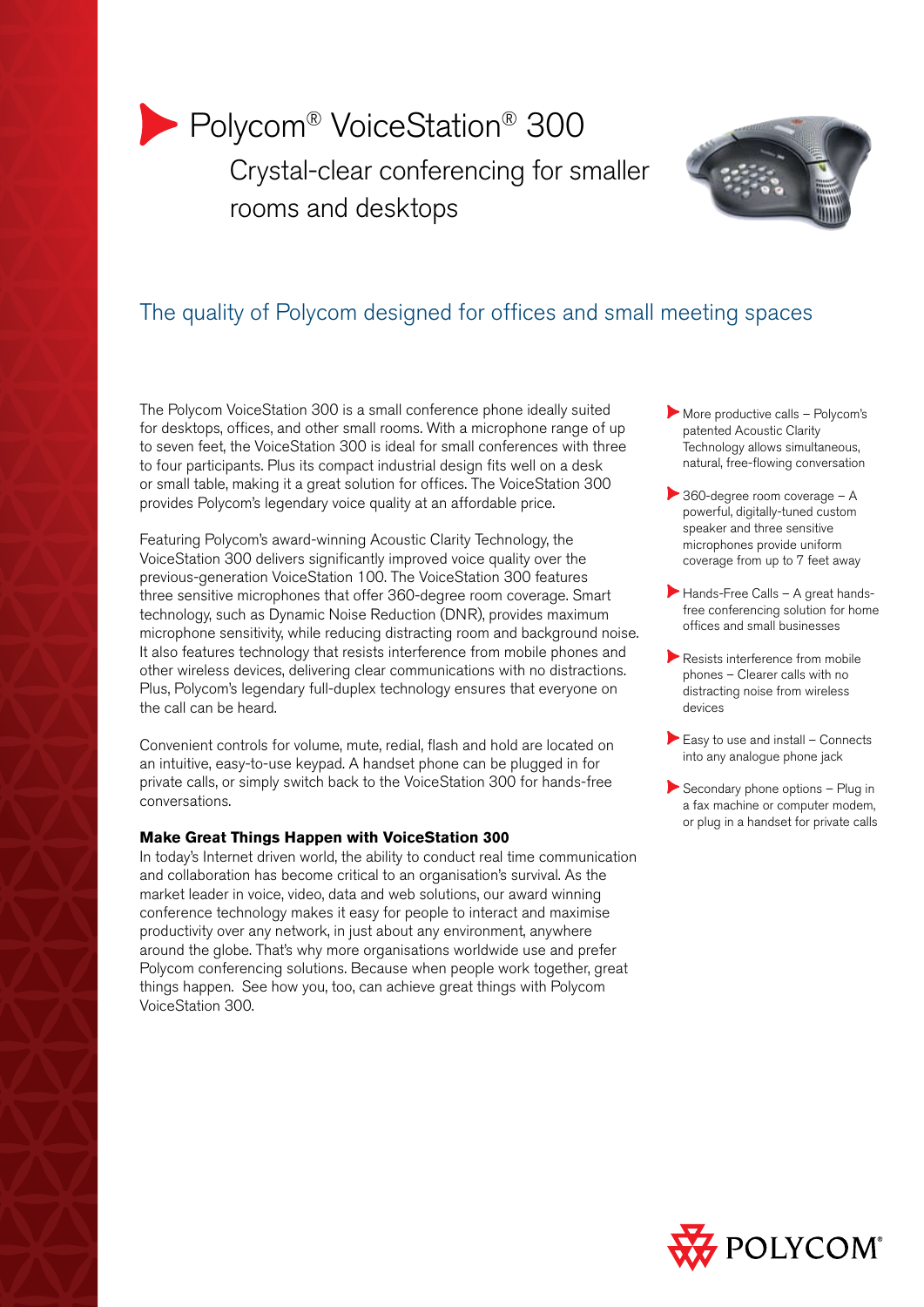# Polycom<sup>®</sup> VoiceStation<sup>®</sup> 300 Crystal-clear conferencing for smaller rooms and desktops



# The quality of Polycom designed for offices and small meeting spaces

The Polycom VoiceStation 300 is a small conference phone ideally suited for desktops, offices, and other small rooms. With a microphone range of up to seven feet, the VoiceStation 300 is ideal for small conferences with three to four participants. Plus its compact industrial design fits well on a desk or small table, making it a great solution for offices. The VoiceStation 300 provides Polycom's legendary voice quality at an affordable price.

Featuring Polycom's award-winning Acoustic Clarity Technology, the VoiceStation 300 delivers significantly improved voice quality over the previous-generation VoiceStation 100. The VoiceStation 300 features three sensitive microphones that offer 360-degree room coverage. Smart technology, such as Dynamic Noise Reduction (DNR), provides maximum microphone sensitivity, while reducing distracting room and background noise. It also features technology that resists interference from mobile phones and other wireless devices, delivering clear communications with no distractions. Plus, Polycom's legendary full-duplex technology ensures that everyone on the call can be heard.

Convenient controls for volume, mute, redial, flash and hold are located on an intuitive, easy-to-use keypad. A handset phone can be plugged in for private calls, or simply switch back to the VoiceStation 300 for hands-free conversations.

# **Make Great Things Happen with VoiceStation 300**

In today's Internet driven world, the ability to conduct real time communication and collaboration has become critical to an organisation's survival. As the market leader in voice, video, data and web solutions, our award winning conference technology makes it easy for people to interact and maximise productivity over any network, in just about any environment, anywhere around the globe. That's why more organisations worldwide use and prefer Polycom conferencing solutions. Because when people work together, great things happen. See how you, too, can achieve great things with Polycom VoiceStation 300.

- More productive calls Polycom's patented Acoustic Clarity Technology allows simultaneous, natural, free-flowing conversation
- 360-degree room coverage A powerful, digitally-tuned custom speaker and three sensitive microphones provide uniform coverage from up to 7 feet away
- Hands-Free Calls A great handsfree conferencing solution for home offices and small businesses
- Resists interference from mobile phones – Clearer calls with no distracting noise from wireless devices
- Easy to use and install Connects into any analogue phone jack
- Secondary phone options Plug in a fax machine or computer modem, or plug in a handset for private calls